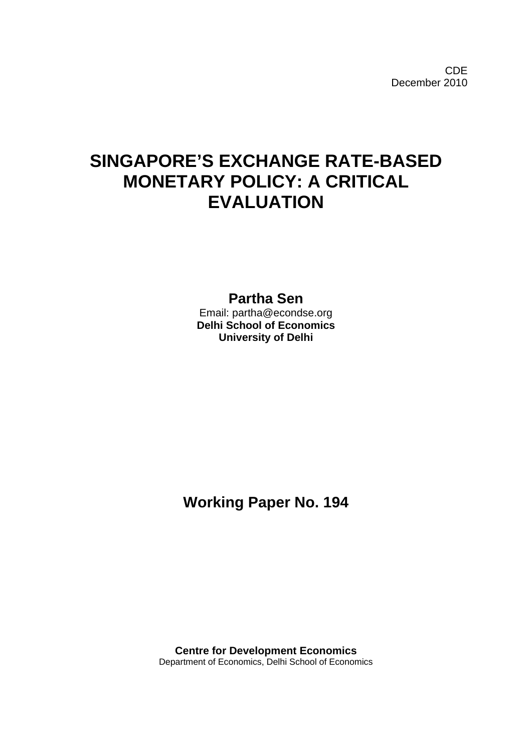CDE December 2010

# **SINGAPORE'S EXCHANGE RATE-BASED MONETARY POLICY: A CRITICAL EVALUATION**

**Partha Sen**

Email: partha@econdse.org **Delhi School of Economics University of Delhi** 

**Working Paper No. 194** 

**Centre for Development Economics**  Department of Economics, Delhi School of Economics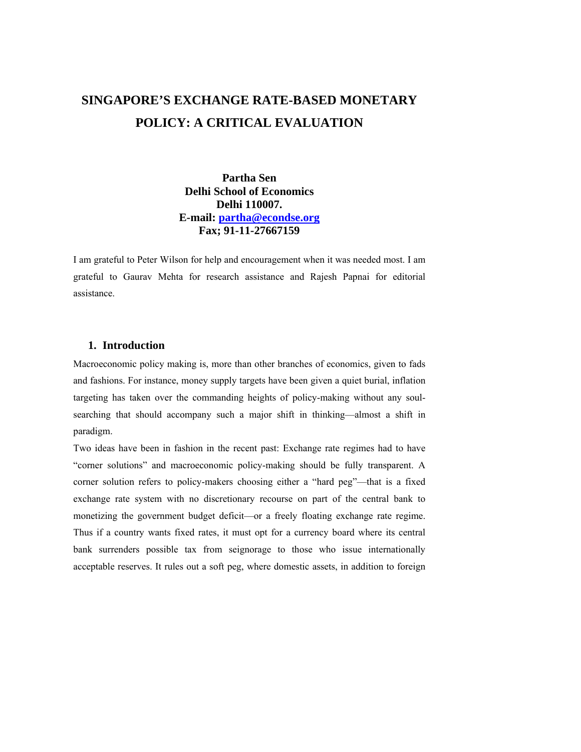# **SINGAPORE'S EXCHANGE RATE-BASED MONETARY POLICY: A CRITICAL EVALUATION**

**Partha Sen Delhi School of Economics Delhi 110007. E-mail: [partha@econdse.org](mailto:partha@econdse.org) Fax; 91-11-27667159** 

I am grateful to Peter Wilson for help and encouragement when it was needed most. I am grateful to Gaurav Mehta for research assistance and Rajesh Papnai for editorial assistance.

## **1. Introduction**

Macroeconomic policy making is, more than other branches of economics, given to fads and fashions. For instance, money supply targets have been given a quiet burial, inflation targeting has taken over the commanding heights of policy-making without any soulsearching that should accompany such a major shift in thinking—almost a shift in paradigm.

Two ideas have been in fashion in the recent past: Exchange rate regimes had to have "corner solutions" and macroeconomic policy-making should be fully transparent. A corner solution refers to policy-makers choosing either a "hard peg"—that is a fixed exchange rate system with no discretionary recourse on part of the central bank to monetizing the government budget deficit—or a freely floating exchange rate regime. Thus if a country wants fixed rates, it must opt for a currency board where its central bank surrenders possible tax from seignorage to those who issue internationally acceptable reserves. It rules out a soft peg, where domestic assets, in addition to foreign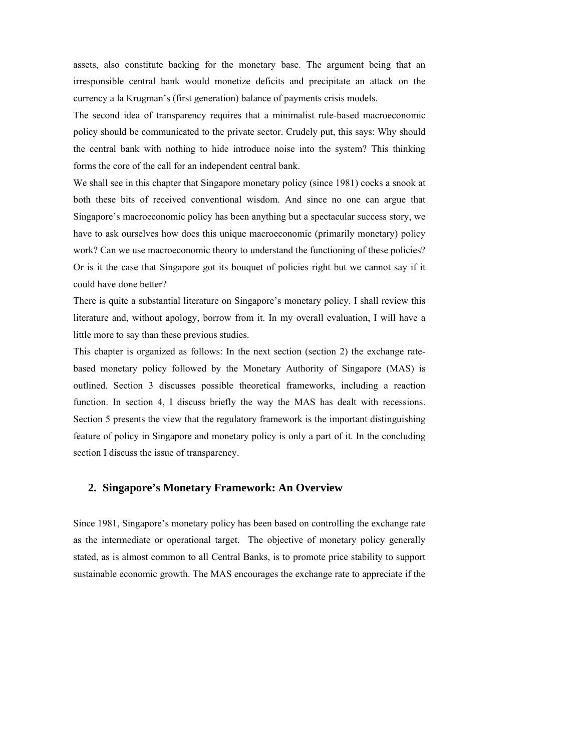assets, also constitute backing for the monetary base. The argument being that an irresponsible central bank would monetize deficits and precipitate an attack on the currency a la Krugman's (first generation) balance of payments crisis models.

The second idea of transparency requires that a minimalist rule-based macroeconomic policy should be communicated to the private sector. Crudely put, this says: Why should the central bank with nothing to hide introduce noise into the system? This thinking forms the core of the call for an independent central bank.

We shall see in this chapter that Singapore monetary policy (since 1981) cocks a snook at both these bits of received conventional wisdom. And since no one can argue that Singapore's macroeconomic policy has been anything but a spectacular success story, we have to ask ourselves how does this unique macroeconomic (primarily monetary) policy work? Can we use macroeconomic theory to understand the functioning of these policies? Or is it the case that Singapore got its bouquet of policies right but we cannot say if it could have done better?

There is quite a substantial literature on Singapore's monetary policy. I shall review this literature and, without apology, borrow from it. In my overall evaluation, I will have a little more to say than these previous studies.

This chapter is organized as follows: In the next section (section 2) the exchange ratebased monetary policy followed by the Monetary Authority of Singapore (MAS) is outlined. Section 3 discusses possible theoretical frameworks, including a reaction function. In section 4, I discuss briefly the way the MAS has dealt with recessions. Section 5 presents the view that the regulatory framework is the important distinguishing feature of policy in Singapore and monetary policy is only a part of it. In the concluding section I discuss the issue of transparency.

## **2. Singapore's Monetary Framework: An Overview**

Since 1981, Singapore's monetary policy has been based on controlling the exchange rate as the intermediate or operational target. The objective of monetary policy generally stated, as is almost common to all Central Banks, is to promote price stability to support sustainable economic growth. The MAS encourages the exchange rate to appreciate if the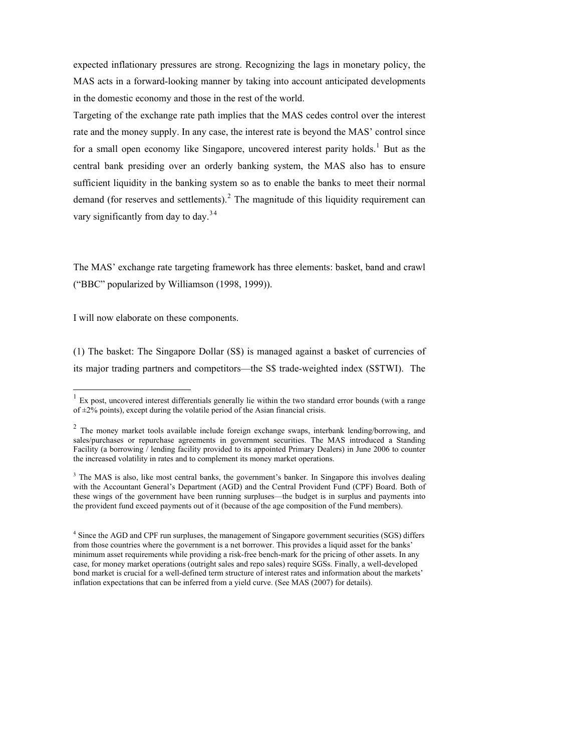expected inflationary pressures are strong. Recognizing the lags in monetary policy, the MAS acts in a forward-looking manner by taking into account anticipated developments in the domestic economy and those in the rest of the world.

Targeting of the exchange rate path implies that the MAS cedes control over the interest rate and the money supply. In any case, the interest rate is beyond the MAS' control since for a small open economy like Singapore, uncovered interest parity holds.<sup>[1](#page-3-0)</sup> But as the central bank presiding over an orderly banking system, the MAS also has to ensure sufficient liquidity in the banking system so as to enable the banks to meet their normal demand (for reserves and settlements). $^2$  $^2$  The magnitude of this liquidity requirement can vary significantly from day to day. $34$ 

The MAS' exchange rate targeting framework has three elements: basket, band and crawl ("BBC" popularized by Williamson (1998, 1999)).

I will now elaborate on these components.

 $\overline{a}$ 

(1) The basket: The Singapore Dollar (S\$) is managed against a basket of currencies of its major trading partners and competitors—the S\$ trade-weighted index (S\$TWI). The

 $<sup>1</sup>$  Ex post, uncovered interest differentials generally lie within the two standard error bounds (with a range</sup> of  $\pm 2\%$  points), except during the volatile period of the Asian financial crisis.

<sup>&</sup>lt;sup>2</sup> The money market tools available include foreign exchange swaps, interbank lending/borrowing, and sales/purchases or repurchase agreements in government securities. The MAS introduced a Standing Facility (a borrowing / lending facility provided to its appointed Primary Dealers) in June 2006 to counter the increased volatility in rates and to complement its money market operations.

<span id="page-3-1"></span><span id="page-3-0"></span><sup>&</sup>lt;sup>3</sup> The MAS is also, like most central banks, the government's banker. In Singapore this involves dealing with the Accountant General's Department (AGD) and the Central Provident Fund (CPF) Board. Both of these wings of the government have been running surpluses—the budget is in surplus and payments into the provident fund exceed payments out of it (because of the age composition of the Fund members).

<span id="page-3-2"></span><sup>&</sup>lt;sup>4</sup> Since the AGD and CPF run surpluses, the management of Singapore government securities (SGS) differs from those countries where the government is a net borrower. This provides a liquid asset for the banks' minimum asset requirements while providing a risk-free bench-mark for the pricing of other assets. In any case, for money market operations (outright sales and repo sales) require SGSs. Finally, a well-developed bond market is crucial for a well-defined term structure of interest rates and information about the markets' inflation expectations that can be inferred from a yield curve. (See MAS (2007) for details).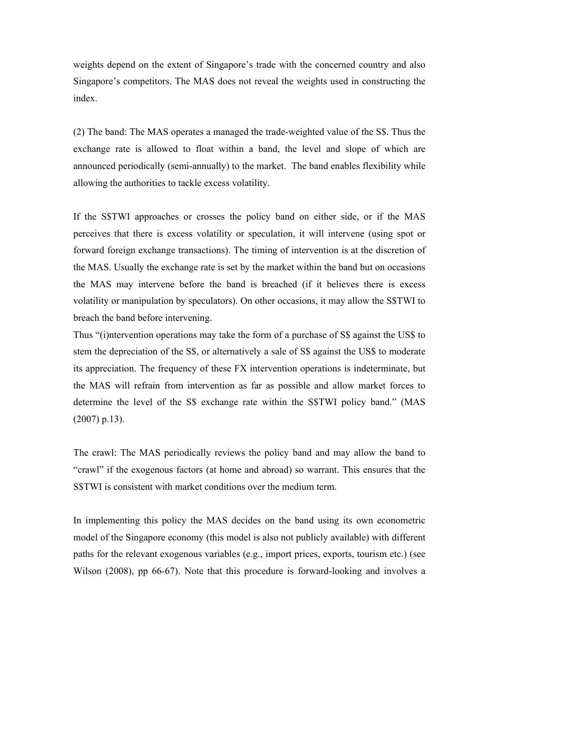weights depend on the extent of Singapore's trade with the concerned country and also Singapore's competitors. The MAS does not reveal the weights used in constructing the index.

(2) The band: The MAS operates a managed the trade-weighted value of the S\$. Thus the exchange rate is allowed to float within a band, the level and slope of which are announced periodically (semi-annually) to the market. The band enables flexibility while allowing the authorities to tackle excess volatility.

If the S\$TWI approaches or crosses the policy band on either side, or if the MAS perceives that there is excess volatility or speculation, it will intervene (using spot or forward foreign exchange transactions). The timing of intervention is at the discretion of the MAS. Usually the exchange rate is set by the market within the band but on occasions the MAS may intervene before the band is breached (if it believes there is excess volatility or manipulation by speculators). On other occasions, it may allow the S\$TWI to breach the band before intervening.

Thus "(i)ntervention operations may take the form of a purchase of S\$ against the US\$ to stem the depreciation of the S\$, or alternatively a sale of S\$ against the US\$ to moderate its appreciation. The frequency of these FX intervention operations is indeterminate, but the MAS will refrain from intervention as far as possible and allow market forces to determine the level of the S\$ exchange rate within the S\$TWI policy band." (MAS (2007) p.13).

The crawl: The MAS periodically reviews the policy band and may allow the band to "crawl" if the exogenous factors (at home and abroad) so warrant. This ensures that the S\$TWI is consistent with market conditions over the medium term.

In implementing this policy the MAS decides on the band using its own econometric model of the Singapore economy (this model is also not publicly available) with different paths for the relevant exogenous variables (e.g., import prices, exports, tourism etc.) (see Wilson (2008), pp 66-67). Note that this procedure is forward-looking and involves a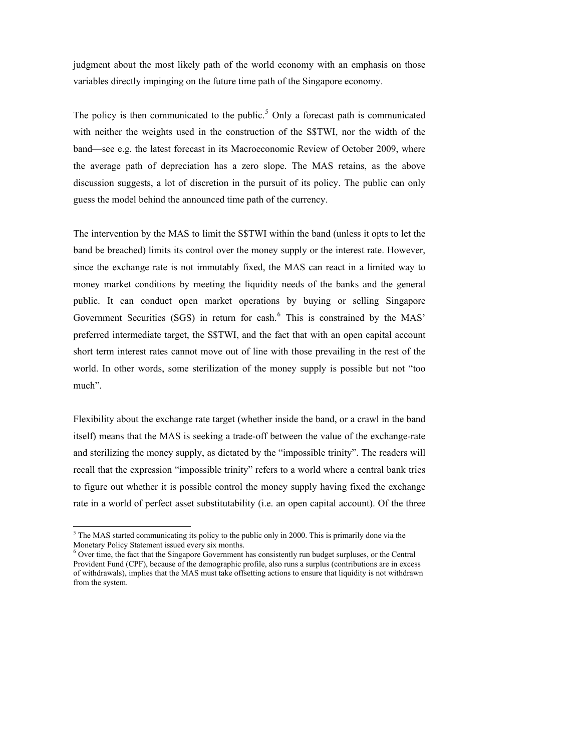judgment about the most likely path of the world economy with an emphasis on those variables directly impinging on the future time path of the Singapore economy.

The policy is then communicated to the public.<sup>[5](#page-5-0)</sup> Only a forecast path is communicated with neither the weights used in the construction of the S\$TWI, nor the width of the band—see e.g. the latest forecast in its Macroeconomic Review of October 2009, where the average path of depreciation has a zero slope. The MAS retains, as the above discussion suggests, a lot of discretion in the pursuit of its policy. The public can only guess the model behind the announced time path of the currency.

The intervention by the MAS to limit the S\$TWI within the band (unless it opts to let the band be breached) limits its control over the money supply or the interest rate. However, since the exchange rate is not immutably fixed, the MAS can react in a limited way to money market conditions by meeting the liquidity needs of the banks and the general public. It can conduct open market operations by buying or selling Singapore Government Securities (SGS) in return for cash.<sup>[6](#page-5-1)</sup> This is constrained by the MAS' preferred intermediate target, the S\$TWI, and the fact that with an open capital account short term interest rates cannot move out of line with those prevailing in the rest of the world. In other words, some sterilization of the money supply is possible but not "too much".

Flexibility about the exchange rate target (whether inside the band, or a crawl in the band itself) means that the MAS is seeking a trade-off between the value of the exchange-rate and sterilizing the money supply, as dictated by the "impossible trinity". The readers will recall that the expression "impossible trinity" refers to a world where a central bank tries to figure out whether it is possible control the money supply having fixed the exchange rate in a world of perfect asset substitutability (i.e. an open capital account). Of the three

l

 $<sup>5</sup>$  The MAS started communicating its policy to the public only in 2000. This is primarily done via the</sup> Monetary Policy Statement issued every six months.

<span id="page-5-1"></span><span id="page-5-0"></span><sup>&</sup>lt;sup>6</sup> Over time, the fact that the Singapore Government has consistently run budget surpluses, or the Central Provident Fund (CPF), because of the demographic profile, also runs a surplus (contributions are in excess of withdrawals), implies that the MAS must take offsetting actions to ensure that liquidity is not withdrawn from the system.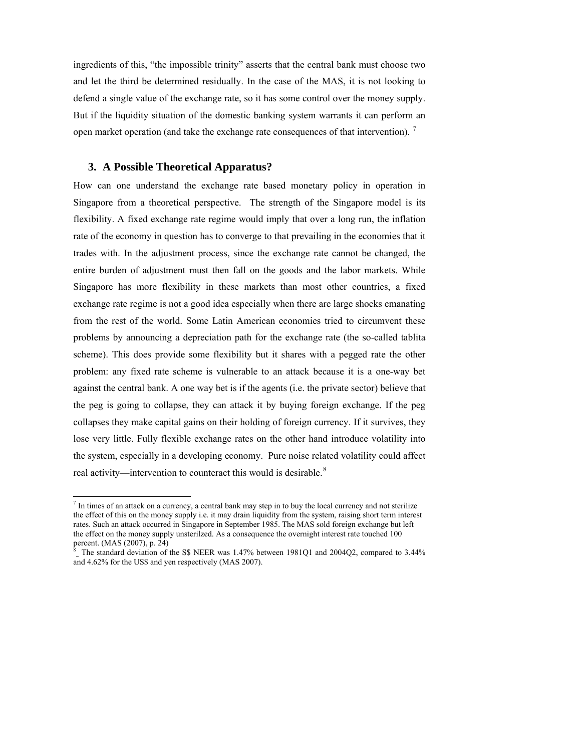ingredients of this, "the impossible trinity" asserts that the central bank must choose two and let the third be determined residually. In the case of the MAS, it is not looking to defend a single value of the exchange rate, so it has some control over the money supply. But if the liquidity situation of the domestic banking system warrants it can perform an open market operation (and take the exchange rate consequences of that intervention).  $\frac{7}{1}$  $\frac{7}{1}$  $\frac{7}{1}$ 

#### **3. A Possible Theoretical Apparatus?**

 $\overline{a}$ 

How can one understand the exchange rate based monetary policy in operation in Singapore from a theoretical perspective. The strength of the Singapore model is its flexibility. A fixed exchange rate regime would imply that over a long run, the inflation rate of the economy in question has to converge to that prevailing in the economies that it trades with. In the adjustment process, since the exchange rate cannot be changed, the entire burden of adjustment must then fall on the goods and the labor markets. While Singapore has more flexibility in these markets than most other countries, a fixed exchange rate regime is not a good idea especially when there are large shocks emanating from the rest of the world. Some Latin American economies tried to circumvent these problems by announcing a depreciation path for the exchange rate (the so-called tablita scheme). This does provide some flexibility but it shares with a pegged rate the other problem: any fixed rate scheme is vulnerable to an attack because it is a one-way bet against the central bank. A one way bet is if the agents (i.e. the private sector) believe that the peg is going to collapse, they can attack it by buying foreign exchange. If the peg collapses they make capital gains on their holding of foreign currency. If it survives, they lose very little. Fully flexible exchange rates on the other hand introduce volatility into the system, especially in a developing economy. Pure noise related volatility could affect real activity—intervention to counteract this would is desirable. $8$ 

 $<sup>7</sup>$  In times of an attack on a currency, a central bank may step in to buy the local currency and not sterilize</sup> the effect of this on the money supply i.e. it may drain liquidity from the system, raising short term interest rates. Such an attack occurred in Singapore in September 1985. The MAS sold foreign exchange but left the effect on the money supply unsterilzed. As a consequence the overnight interest rate touched 100 percent. (MAS (2007), p. 24)

<span id="page-6-1"></span><span id="page-6-0"></span> $8<sup>8</sup>$  The standard deviation of the S\$ NEER was 1.47% between 1981Q1 and 2004Q2, compared to 3.44% and 4.62% for the US\$ and yen respectively (MAS 2007).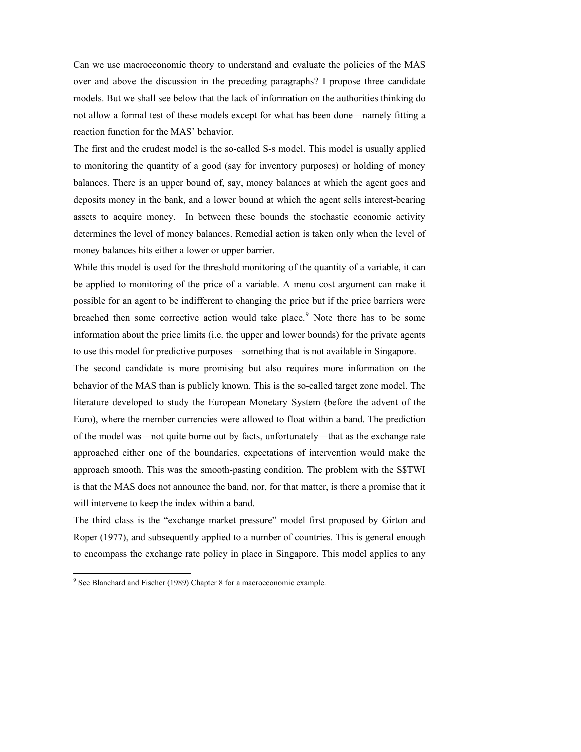Can we use macroeconomic theory to understand and evaluate the policies of the MAS over and above the discussion in the preceding paragraphs? I propose three candidate models. But we shall see below that the lack of information on the authorities thinking do not allow a formal test of these models except for what has been done—namely fitting a reaction function for the MAS' behavior.

The first and the crudest model is the so-called S-s model. This model is usually applied to monitoring the quantity of a good (say for inventory purposes) or holding of money balances. There is an upper bound of, say, money balances at which the agent goes and deposits money in the bank, and a lower bound at which the agent sells interest-bearing assets to acquire money. In between these bounds the stochastic economic activity determines the level of money balances. Remedial action is taken only when the level of money balances hits either a lower or upper barrier.

While this model is used for the threshold monitoring of the quantity of a variable, it can be applied to monitoring of the price of a variable. A menu cost argument can make it possible for an agent to be indifferent to changing the price but if the price barriers were breached then some corrective action would take place.<sup>[9](#page-7-0)</sup> Note there has to be some information about the price limits (i.e. the upper and lower bounds) for the private agents to use this model for predictive purposes—something that is not available in Singapore.

The second candidate is more promising but also requires more information on the behavior of the MAS than is publicly known. This is the so-called target zone model. The literature developed to study the European Monetary System (before the advent of the Euro), where the member currencies were allowed to float within a band. The prediction of the model was—not quite borne out by facts, unfortunately—that as the exchange rate approached either one of the boundaries, expectations of intervention would make the approach smooth. This was the smooth-pasting condition. The problem with the S\$TWI is that the MAS does not announce the band, nor, for that matter, is there a promise that it will intervene to keep the index within a band.

The third class is the "exchange market pressure" model first proposed by Girton and Roper (1977), and subsequently applied to a number of countries. This is general enough to encompass the exchange rate policy in place in Singapore. This model applies to any

 $\overline{a}$ 

<span id="page-7-0"></span><sup>&</sup>lt;sup>9</sup> See Blanchard and Fischer (1989) Chapter 8 for a macroeconomic example.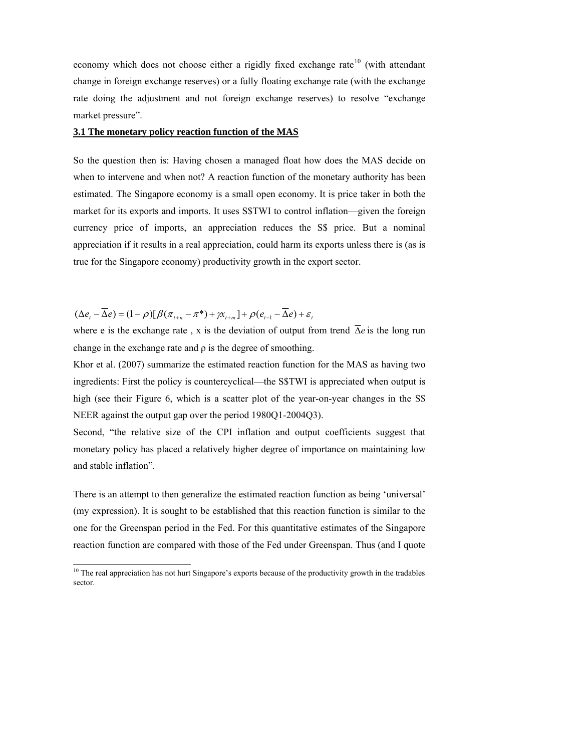economy which does not choose either a rigidly fixed exchange rate<sup>[10](#page-8-0)</sup> (with attendant change in foreign exchange reserves) or a fully floating exchange rate (with the exchange rate doing the adjustment and not foreign exchange reserves) to resolve "exchange market pressure".

#### **3.1 The monetary policy reaction function of the MAS**

So the question then is: Having chosen a managed float how does the MAS decide on when to intervene and when not? A reaction function of the monetary authority has been estimated. The Singapore economy is a small open economy. It is price taker in both the market for its exports and imports. It uses S\$TWI to control inflation—given the foreign currency price of imports, an appreciation reduces the S\$ price. But a nominal appreciation if it results in a real appreciation, could harm its exports unless there is (as is true for the Singapore economy) productivity growth in the export sector.

 $(\Delta e_t - \overline{\Delta} e) = (1 - \rho)[\beta(\pi_{t+n} - \pi^*) + \gamma \chi_{t+m}] + \rho(e_{t-1} - \overline{\Delta} e) + \varepsilon_t$ 

 $\overline{a}$ 

where e is the exchange rate, x is the deviation of output from trend  $\Delta e$  is the long run change in the exchange rate and  $\rho$  is the degree of smoothing.

Khor et al. (2007) summarize the estimated reaction function for the MAS as having two ingredients: First the policy is countercyclical—the S\$TWI is appreciated when output is high (see their Figure 6, which is a scatter plot of the year-on-year changes in the S\$ NEER against the output gap over the period 1980Q1-2004Q3).

Second, "the relative size of the CPI inflation and output coefficients suggest that monetary policy has placed a relatively higher degree of importance on maintaining low and stable inflation".

There is an attempt to then generalize the estimated reaction function as being 'universal' (my expression). It is sought to be established that this reaction function is similar to the one for the Greenspan period in the Fed. For this quantitative estimates of the Singapore reaction function are compared with those of the Fed under Greenspan. Thus (and I quote

<span id="page-8-0"></span> $10$  The real appreciation has not hurt Singapore's exports because of the productivity growth in the tradables sector.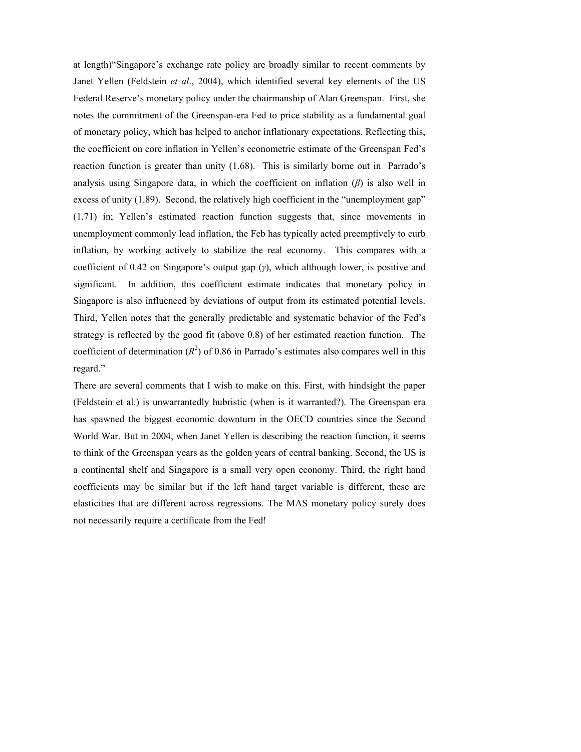at length)"Singapore's exchange rate policy are broadly similar to recent comments by Janet Yellen (Feldstein *et al*., 2004), which identified several key elements of the US Federal Reserve's monetary policy under the chairmanship of Alan Greenspan. First, she notes the commitment of the Greenspan-era Fed to price stability as a fundamental goal of monetary policy, which has helped to anchor inflationary expectations. Reflecting this, the coefficient on core inflation in Yellen's econometric estimate of the Greenspan Fed's reaction function is greater than unity (1.68). This is similarly borne out in Parrado's analysis using Singapore data, in which the coefficient on inflation  $(\beta)$  is also well in excess of unity (1.89). Second, the relatively high coefficient in the "unemployment gap" (1.71) in; Yellen's estimated reaction function suggests that, since movements in unemployment commonly lead inflation, the Feb has typically acted preemptively to curb inflation, by working actively to stabilize the real economy. This compares with a coefficient of 0.42 on Singapore's output gap (*γ*), which although lower, is positive and significant. In addition, this coefficient estimate indicates that monetary policy in Singapore is also influenced by deviations of output from its estimated potential levels. Third, Yellen notes that the generally predictable and systematic behavior of the Fed's strategy is reflected by the good fit (above 0.8) of her estimated reaction function. The coefficient of determination  $(R^2)$  of 0.86 in Parrado's estimates also compares well in this regard."

There are several comments that I wish to make on this. First, with hindsight the paper (Feldstein et al.) is unwarrantedly hubristic (when is it warranted?). The Greenspan era has spawned the biggest economic downturn in the OECD countries since the Second World War. But in 2004, when Janet Yellen is describing the reaction function, it seems to think of the Greenspan years as the golden years of central banking. Second, the US is a continental shelf and Singapore is a small very open economy. Third, the right hand coefficients may be similar but if the left hand target variable is different, these are elasticities that are different across regressions. The MAS monetary policy surely does not necessarily require a certificate from the Fed!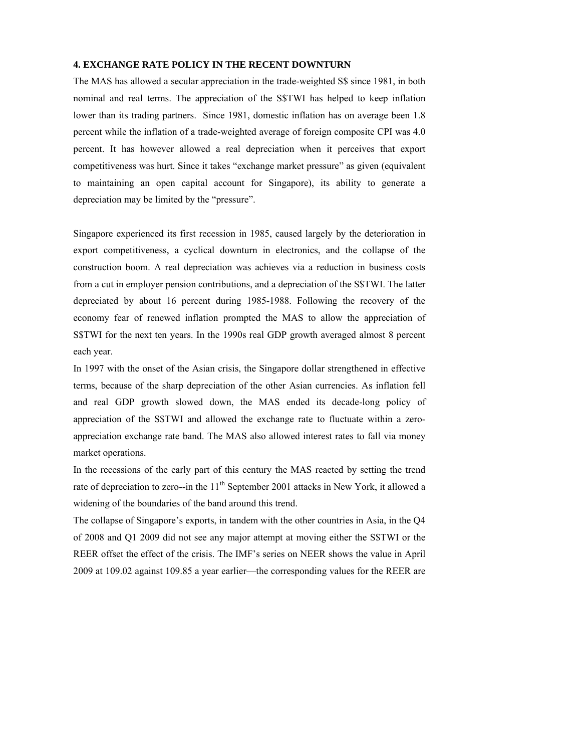#### **4. EXCHANGE RATE POLICY IN THE RECENT DOWNTURN**

The MAS has allowed a secular appreciation in the trade-weighted S\$ since 1981, in both nominal and real terms. The appreciation of the S\$TWI has helped to keep inflation lower than its trading partners. Since 1981, domestic inflation has on average been 1.8 percent while the inflation of a trade-weighted average of foreign composite CPI was 4.0 percent. It has however allowed a real depreciation when it perceives that export competitiveness was hurt. Since it takes "exchange market pressure" as given (equivalent to maintaining an open capital account for Singapore), its ability to generate a depreciation may be limited by the "pressure".

Singapore experienced its first recession in 1985, caused largely by the deterioration in export competitiveness, a cyclical downturn in electronics, and the collapse of the construction boom. A real depreciation was achieves via a reduction in business costs from a cut in employer pension contributions, and a depreciation of the S\$TWI. The latter depreciated by about 16 percent during 1985-1988. Following the recovery of the economy fear of renewed inflation prompted the MAS to allow the appreciation of S\$TWI for the next ten years. In the 1990s real GDP growth averaged almost 8 percent each year.

In 1997 with the onset of the Asian crisis, the Singapore dollar strengthened in effective terms, because of the sharp depreciation of the other Asian currencies. As inflation fell and real GDP growth slowed down, the MAS ended its decade-long policy of appreciation of the S\$TWI and allowed the exchange rate to fluctuate within a zeroappreciation exchange rate band. The MAS also allowed interest rates to fall via money market operations.

In the recessions of the early part of this century the MAS reacted by setting the trend rate of depreciation to zero--in the  $11<sup>th</sup>$  September 2001 attacks in New York, it allowed a widening of the boundaries of the band around this trend.

The collapse of Singapore's exports, in tandem with the other countries in Asia, in the Q4 of 2008 and Q1 2009 did not see any major attempt at moving either the S\$TWI or the REER offset the effect of the crisis. The IMF's series on NEER shows the value in April 2009 at 109.02 against 109.85 a year earlier—the corresponding values for the REER are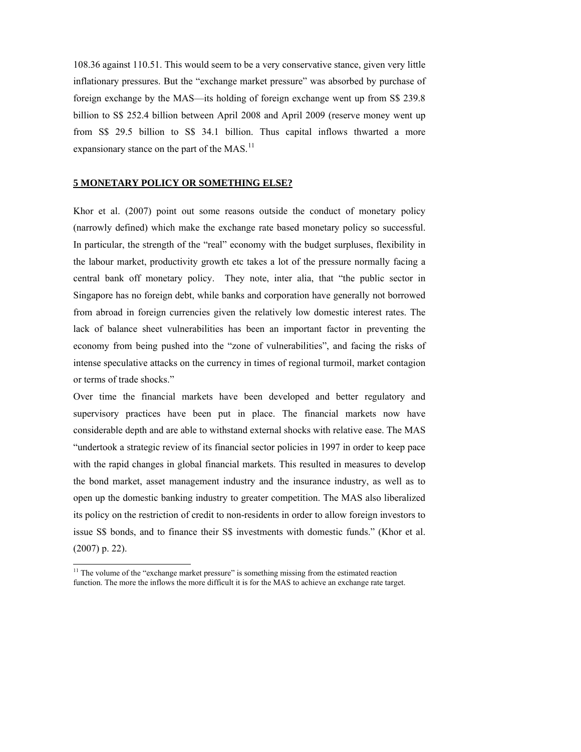108.36 against 110.51. This would seem to be a very conservative stance, given very little inflationary pressures. But the "exchange market pressure" was absorbed by purchase of foreign exchange by the MAS—its holding of foreign exchange went up from S\$ 239.8 billion to S\$ 252.4 billion between April 2008 and April 2009 (reserve money went up from S\$ 29.5 billion to S\$ 34.1 billion. Thus capital inflows thwarted a more expansionary stance on the part of the MAS.<sup>[11](#page-11-0)</sup>

#### **5 MONETARY POLICY OR SOMETHING ELSE?**

Khor et al. (2007) point out some reasons outside the conduct of monetary policy (narrowly defined) which make the exchange rate based monetary policy so successful. In particular, the strength of the "real" economy with the budget surpluses, flexibility in the labour market, productivity growth etc takes a lot of the pressure normally facing a central bank off monetary policy. They note, inter alia, that "the public sector in Singapore has no foreign debt, while banks and corporation have generally not borrowed from abroad in foreign currencies given the relatively low domestic interest rates. The lack of balance sheet vulnerabilities has been an important factor in preventing the economy from being pushed into the "zone of vulnerabilities", and facing the risks of intense speculative attacks on the currency in times of regional turmoil, market contagion or terms of trade shocks."

Over time the financial markets have been developed and better regulatory and supervisory practices have been put in place. The financial markets now have considerable depth and are able to withstand external shocks with relative ease. The MAS "undertook a strategic review of its financial sector policies in 1997 in order to keep pace with the rapid changes in global financial markets. This resulted in measures to develop the bond market, asset management industry and the insurance industry, as well as to open up the domestic banking industry to greater competition. The MAS also liberalized its policy on the restriction of credit to non-residents in order to allow foreign investors to issue S\$ bonds, and to finance their S\$ investments with domestic funds." (Khor et al. (2007) p. 22).

 $\overline{a}$ 

<span id="page-11-0"></span><sup>&</sup>lt;sup>11</sup> The volume of the "exchange market pressure" is something missing from the estimated reaction function. The more the inflows the more difficult it is for the MAS to achieve an exchange rate target.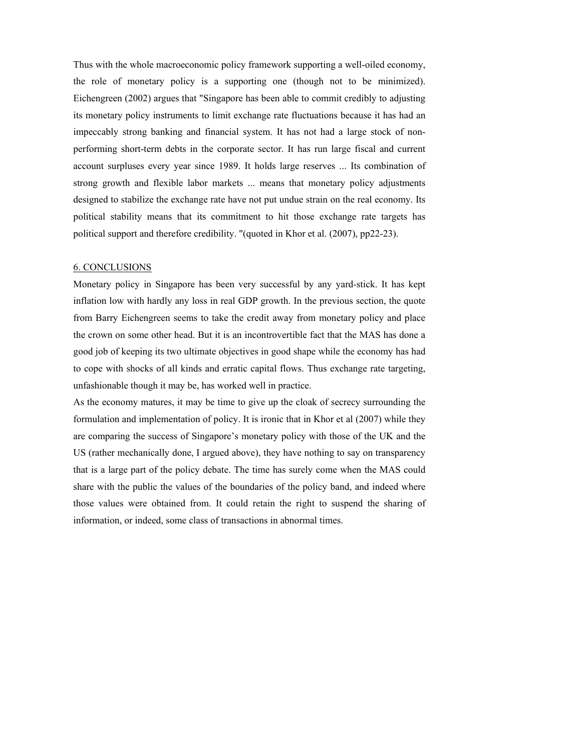Thus with the whole macroeconomic policy framework supporting a well-oiled economy, the role of monetary policy is a supporting one (though not to be minimized). Eichengreen (2002) argues that "Singapore has been able to commit credibly to adjusting its monetary policy instruments to limit exchange rate fluctuations because it has had an impeccably strong banking and financial system. It has not had a large stock of nonperforming short-term debts in the corporate sector. It has run large fiscal and current account surpluses every year since 1989. It holds large reserves ... Its combination of strong growth and flexible labor markets ... means that monetary policy adjustments designed to stabilize the exchange rate have not put undue strain on the real economy. Its political stability means that its commitment to hit those exchange rate targets has political support and therefore credibility. "(quoted in Khor et al. (2007), pp22-23).

#### 6. CONCLUSIONS

Monetary policy in Singapore has been very successful by any yard-stick. It has kept inflation low with hardly any loss in real GDP growth. In the previous section, the quote from Barry Eichengreen seems to take the credit away from monetary policy and place the crown on some other head. But it is an incontrovertible fact that the MAS has done a good job of keeping its two ultimate objectives in good shape while the economy has had to cope with shocks of all kinds and erratic capital flows. Thus exchange rate targeting, unfashionable though it may be, has worked well in practice.

As the economy matures, it may be time to give up the cloak of secrecy surrounding the formulation and implementation of policy. It is ironic that in Khor et al (2007) while they are comparing the success of Singapore's monetary policy with those of the UK and the US (rather mechanically done, I argued above), they have nothing to say on transparency that is a large part of the policy debate. The time has surely come when the MAS could share with the public the values of the boundaries of the policy band, and indeed where those values were obtained from. It could retain the right to suspend the sharing of information, or indeed, some class of transactions in abnormal times.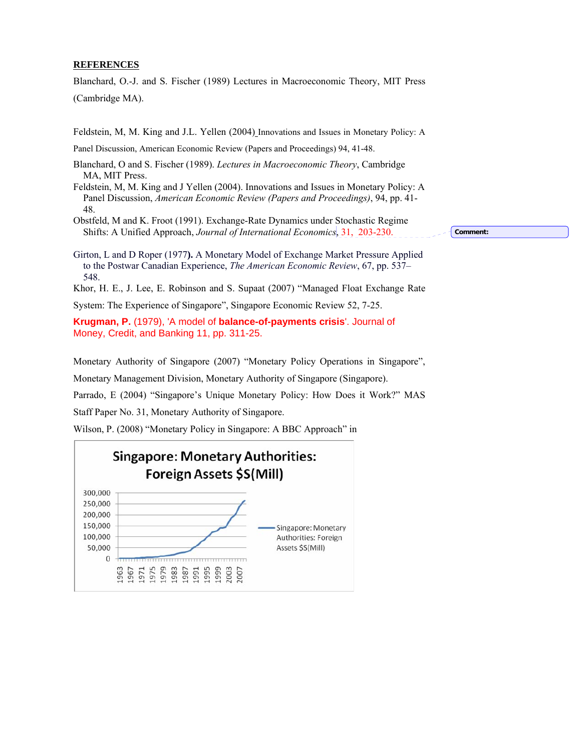#### **REFERENCES**

Blanchard, O.-J. and S. Fischer (1989) Lectures in Macroeconomic Theory, MIT Press (Cambridge MA).

Feldstein, M, M. King and J.L. Yellen (2004) Innovations and Issues in Monetary Policy: A

Panel Discussion, American Economic Review (Papers and Proceedings) 94, 41-48.

- Blanchard, O and S. Fischer (1989). *Lectures in Macroeconomic Theory*, Cambridge MA, MIT Press.
- Feldstein, M, M. King and J Yellen (2004). Innovations and Issues in Monetary Policy: A Panel Discussion, *American Economic Review (Papers and Proceedings)*, 94, pp. 41- 48.
- Obstfeld, M and K. Froot (1991). Exchange-Rate Dynamics under Stochastic Regime Shifts: A Unified Approach, *Journal of International Economics*, 31, 203-230.

**Comment:** 

- Girton, L and D Roper (1977**).** A Monetary Model of Exchange Market Pressure Applied to the Postwar Canadian Experience, *The American Economic Review*, 67, pp. 537– 548.
- Khor, H. E., J. Lee, E. Robinson and S. Supaat (2007) "Managed Float Exchange Rate
- System: The Experience of Singapore", Singapore Economic Review 52, 7-25.

**Krugman, P.** (1979), 'A model of **balance-of-payments crisis**'. Journal of Money, Credit, and Banking 11, pp. 311-25.

Monetary Authority of Singapore (2007) "Monetary Policy Operations in Singapore",

Monetary Management Division, Monetary Authority of Singapore (Singapore).

Parrado, E (2004) "Singapore's Unique Monetary Policy: How Does it Work?" MAS

Staff Paper No. 31, Monetary Authority of Singapore.

Wilson, P. (2008) "Monetary Policy in Singapore: A BBC Approach" in

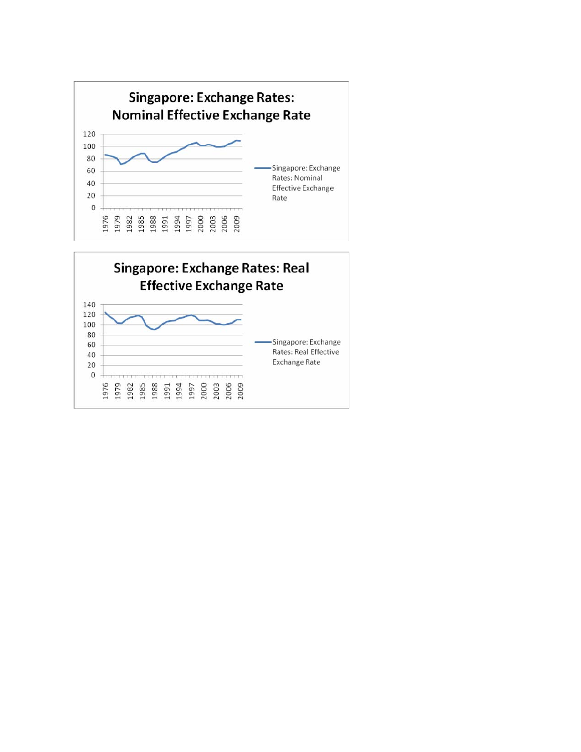